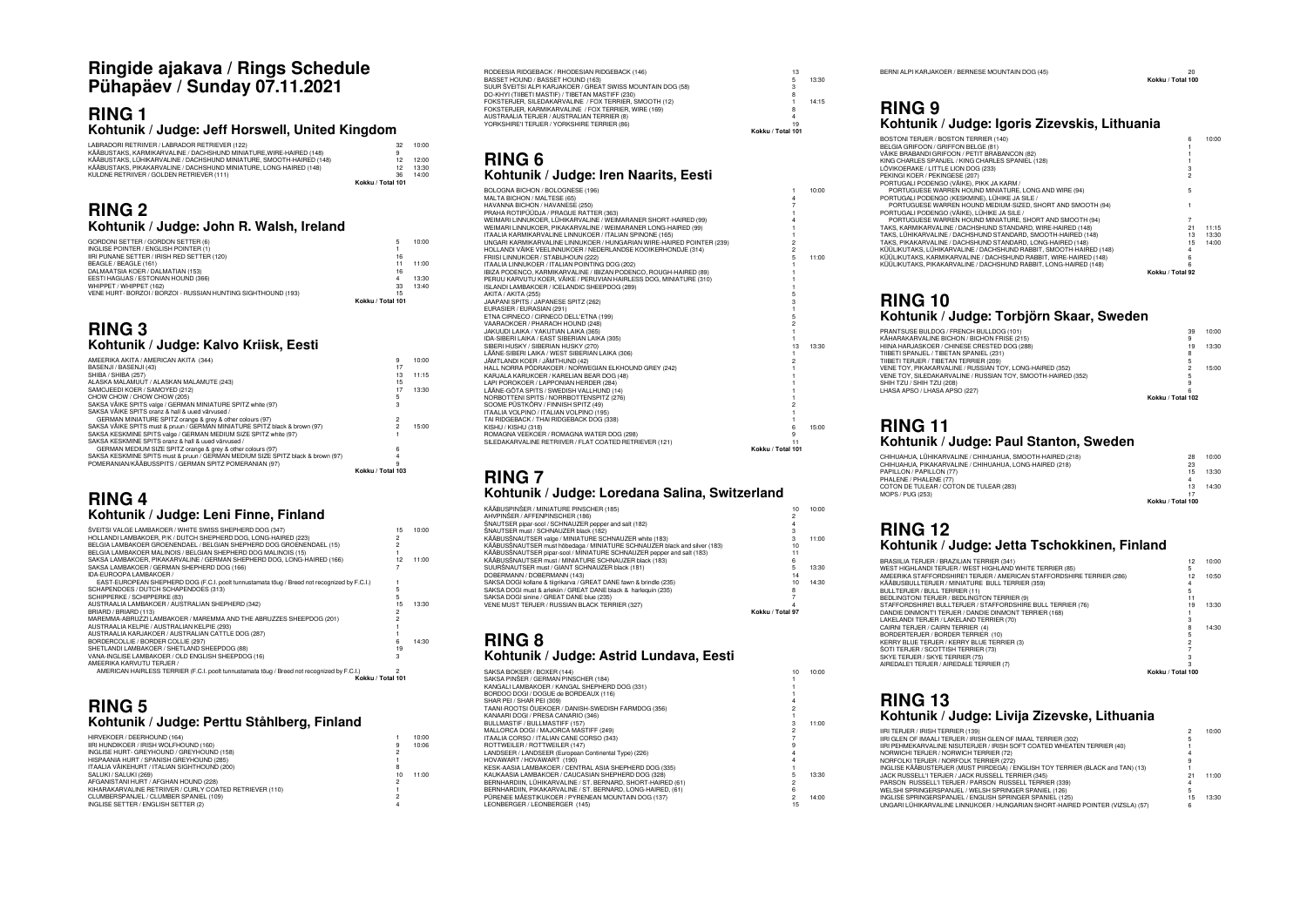### **Ringide ajakava / Rings Schedule Pühapäev / Sunday 07.11.2021**

#### **RING 1 Kohtunik / Judge: Jeff Horswell, United Kingdom**

| LABRADORI RETRIIVER / LABRADOR RETRIEVER (122)                       | 32                | 10:00 |
|----------------------------------------------------------------------|-------------------|-------|
| KÄÄBUSTAKS, KARMIKARVALINE / DACHSHUND MINIATURE.WIRE-HAIRED (148)   | 9                 |       |
| KÄÄBUSTAKS. LÜHIKARVALINE / DACHSHUND MINIATURE. SMOOTH-HAIRED (148) |                   | 12:00 |
| KÄÄBUSTAKS. PIKAKARVALINE / DACHSHUND MINIATURE. LONG-HAIRED (148)   | 12                | 13:30 |
| KULDNE RETRIIVER / GOLDEN RETRIEVER (111)                            | 36                | 14:00 |
|                                                                      | Kokku / Total 101 |       |

#### **RING 2 Kohtunik / Judge: John R. Walsh, Ireland**

| GORDONI SETTER / GORDON SETTER (6)                            | 5                 | 10:00 |
|---------------------------------------------------------------|-------------------|-------|
| INGLISE POINTER / ENGLISH POINTER (1)                         |                   |       |
| IIRI PUNANE SETTER / IRISH RED SETTER (120)                   | 16                |       |
| BEAGLE / BEAGLE (161)                                         | 11                | 11:00 |
| DALMAATSIA KOER / DALMATIAN (153)                             | 16                |       |
| EESTI HAGIJAS / ESTONIAN HOUND (366)                          | 4                 | 13:30 |
| WHIPPET / WHIPPET (162)                                       | 33                | 13:40 |
| VENE HURT- BORZOI / BORZOI - RUSSIAN HUNTING SIGHTHOUND (193) | 15                |       |
|                                                               | Kokku / Total 101 |       |
|                                                               |                   |       |

#### **RING 3 Kohtunik / Judge: Kalvo Kriisk, Eesti**

| AMEERIKA AKITA / AMERICAN AKITA (344)                                           | 9                 | 10:00 |
|---------------------------------------------------------------------------------|-------------------|-------|
| BASENJI / BASENJI (43)                                                          | 17                |       |
| SHIBA / SHIBA (257)                                                             | 13                | 11:15 |
| ALASKA MALAMUUT / ALASKAN MALAMUTE (243)                                        | 15                |       |
| SAMOJEEDI KOER / SAMOYED (212)                                                  | 17                | 13:30 |
| CHOW CHOW / CHOW CHOW (205)                                                     | 5                 |       |
| SAKSA VÄIKE SPITS valge / GERMAN MINIATURE SPITZ white (97)                     |                   |       |
| SAKSA VÄIKE SPITS oranz & hall & uued värvused /                                |                   |       |
| GERMAN MINIATURE SPITZ orange & grev & other colours (97)                       | 2                 |       |
| SAKSA VÄIKE SPITS must & pruun / GERMAN MINIATURE SPITZ black & brown (97)      | 2                 | 15:00 |
| SAKSA KESKMINE SPITS valge / GERMAN MEDIUM SIZE SPITZ white (97)                |                   |       |
| SAKSA KESKMINE SPITS oranz & hall & uued värvused /                             |                   |       |
| GERMAN MEDIUM SIZE SPITZ orange & grey & other colours (97)                     | 6                 |       |
| SAKSA KESKMINE SPITS must & pruun / GERMAN MEDIUM SIZE SPITZ black & brown (97) |                   |       |
| POMERANIAN/KÄÄBUSSPITS / GERMAN SPITZ POMERANIAN (97)                           | ۹                 |       |
|                                                                                 | Kokku / Total 103 |       |

#### **RING 4 Kohtunik / Judge: Leni Finne, Finland**

| ŠVEITSI VALGE LAMBAKOER / WHITE SWISS SHEPHERD DOG (347)                                     | 15             | 10:00 |
|----------------------------------------------------------------------------------------------|----------------|-------|
| HOLLANDI LAMBAKOER, P/K / DUTCH SHEPHERD DOG, LONG-HAIRED (223)                              | $\overline{c}$ |       |
| BELGIA LAMBAKOER GROENENDAEL / BELGIAN SHEPHERD DOG GROENENDAEL (15)                         |                |       |
| BELGIA LAMBAKOER MALINOIS / BELGIAN SHEPHERD DOG MALINOIS (15)                               |                |       |
| SAKSA LAMBAKOER, PIKAKARVALINE / GERMAN SHEPHERD DOG, LONG-HAIRED (166)                      | 12             | 11:00 |
| SAKSA LAMBAKOER / GERMAN SHEPHERD DOG (166)                                                  |                |       |
| IDA-EUROOPA LAMBAKOER /                                                                      |                |       |
| EAST-EUROPEAN SHEPHERD DOG (F.C.I. poolt tunnustamata toug / Breed not recognized by F.C.I.) |                |       |
| SCHAPENDOES / DUTCH SCHAPENDOES (313)                                                        |                |       |
| SCHIPPERKE / SCHIPPERKE (83)                                                                 |                |       |
| AUSTRAALIA LAMBAKOER / AUSTRALIAN SHEPHERD (342)                                             | 15             | 13:30 |
| BRIARD / BRIARD (113)                                                                        | 2              |       |
| MAREMMA-ABRUZZI LAMBAKOER / MAREMMA AND THE ABRUZZES SHEEPDOG (201)                          |                |       |
| AUSTRAALIA KELPIE / AUSTRALIAN KELPIE (293)                                                  |                |       |
| AUSTRAALIA KARJAKOER / AUSTRALIAN CATTLE DOG (287)                                           |                |       |
| BORDERCOLLIE / BORDER COLLIE (297)                                                           | 6              | 14:30 |
| SHETLANDI LAMBAKOER / SHETLAND SHEEPDOG (88)                                                 | 19             |       |
| VANA-INGLISE LAMBAKOER / OLD ENGLISH SHEEPDOG (16)                                           | 3              |       |
| AMFFRIKA KARVUTU TFRJFR /                                                                    |                |       |
| AMERICAN HAIRLESS TERRIER (F.C.I. poolt tunnustamata toug / Breed not recognized by F.C.I.)  |                |       |
| Kokku / Total 101                                                                            |                |       |

#### **RING 5 Kohtunik / Judge: Perttu Ståhlberg, Finland**

|    | 10:00 |
|----|-------|
| 9  | 10:06 |
|    |       |
|    |       |
| 8  |       |
| 10 | 11:00 |
| 2  |       |
|    |       |
| 2  |       |
|    |       |
|    |       |

| RODEESIA RIDGEBACK / RHODESIAN RIDGEBACK (146)              | 13                |       |
|-------------------------------------------------------------|-------------------|-------|
| BASSET HOUND / BASSET HOUND (163)                           | 5                 | 13:30 |
| SUUR ŠVEITSI ALPI KARJAKOER / GREAT SWISS MOUNTAIN DOG (58) |                   |       |
| DO-KHYI (TIIBETI MASTIF) / TIBETAN MASTIFF (230)            |                   |       |
| FOKSTERJER, SILEDAKARVALINE / FOX TERRIER, SMOOTH (12)      |                   | 14:15 |
| FOKSTERJER, KARMIKARVALINE / FOX TERRIER, WIRE (169)        | я                 |       |
| AUSTRAALIA TERJER / AUSTRALIAN TERRIER (8)                  |                   |       |
| YORKSHIRE'I TERJER / YORKSHIRE TERRIER (86)                 | 19                |       |
|                                                             | Kokku / Total 101 |       |

# **RING 6 Kohtunik / Judge: Iren Naarits, Eesti**

| BOLOGNA BICHON / BOLOGNESE (196)                                                                     |                   | 10:00 |
|------------------------------------------------------------------------------------------------------|-------------------|-------|
| MALTA BICHON / MALTESE (65)                                                                          |                   |       |
| HAVANNA BICHON / HAVANESE (250)                                                                      |                   |       |
| PRAHA ROTIPÜÜDJA / PRAGUE RATTER (363)                                                               |                   |       |
| WEIMARI LINNUKOER, LÜHIKARVALINE / WEIMARANER SHORT-HAIRED (99)                                      |                   |       |
| WEIMARI LINNUKOER, PIKAKARVALINE / WEIMARANER LONG-HAIRED (99)                                       |                   |       |
| ITAALIA KARMIKARVALINE LINNUKOER / ITALIAN SPINONE (165)                                             |                   |       |
| UNGARI KARMIKARVALINE LINNUKOER / HUNGARIAN WIRE-HAIRED POINTER (239)                                | $\overline{c}$    |       |
| HOLLANDI VÄIKE VEELINNUKOER / NEDERLANDSE KOOIKERHONDJE (314)                                        | $\mathfrak{p}$    |       |
| FRIISI LINNUKOER / STABIJHOUN (222)                                                                  | 5                 | 11:00 |
| ITAALIA LINNUKOER / ITALIAN POINTING DOG (202)                                                       |                   |       |
| IBIZA PODENCO, KARMIKARVALINE / IBIZAN PODENCO, ROUGH-HAIRED (89)                                    |                   |       |
| PERUU KARVUTU KOER, VÄIKE / PERUVIAN HAIRLESS DOG, MINIATURE (310)                                   |                   |       |
| ISLANDI LAMBAKOER / ICELANDIC SHEEPDOG (289)                                                         |                   |       |
| AKITA / AKITA (255)                                                                                  |                   |       |
| JAAPANI SPITS / JAPANESE SPITZ (262)                                                                 |                   |       |
| EURASIER / EURASIAN (291)                                                                            |                   |       |
| ETNA CIRNECO / CIRNECO DELL'ETNA (199)                                                               | 5                 |       |
| VAARAOKOER / PHARAOH HOUND (248)                                                                     | $\mathfrak{p}$    |       |
| JAKUUDI LAIKA / YAKUTIAN LAIKA (365)                                                                 |                   |       |
| IDA-SIBERI LAIKA / EAST SIBERIAN LAIKA (305)                                                         |                   |       |
| SIBERI HUSKY / SIBERIAN HUSKY (270)                                                                  | 13                | 13:30 |
| LÄÄNE-SIBERI LAIKA / WEST SIBERIAN LAIKA (306)                                                       |                   |       |
| JÄMTLANDI KOER / JÄMTHUND (42)                                                                       |                   |       |
| HALL NORRA PÖDRAKOER / NORWEGIAN ELKHOUND GREY (242)                                                 |                   |       |
| KARJALA KARUKOER / KARELIAN BEAR DOG (48)                                                            |                   |       |
| LAPI POROKOER / LAPPONIAN HERDER (284)                                                               |                   |       |
| LÄÄNE-GÖTA SPITS / SWEDISH VALLHUND (14)                                                             |                   |       |
| NORBOTTENI SPITS / NORRBOTTENSPITZ (276)                                                             |                   |       |
| SOOME PÜSTKÕRV / FINNISH SPITZ (49)                                                                  |                   |       |
| ITAALIA VOLPINO / ITALIAN VOLPINO (195)                                                              |                   |       |
| TAI RIDGEBACK / THAI RIDGEBACK DOG (338)                                                             |                   |       |
| KISHU / KISHU (318)                                                                                  | 6                 | 15:00 |
| ROMAGNA VEEKOER / ROMAGNA WATER DOG (298)<br>SILEDAKARVALINE RETRIIVER / FLAT COATED RETRIEVER (121) | 9<br>11           |       |
|                                                                                                      | Kokku / Total 101 |       |
|                                                                                                      |                   |       |

#### **RING 7 Kohtunik / Judge: Loredana Salina, Switzerland**

| KÄÄBUSPINŠER / MINIATURE PINSCHER (185)                                   | 10               | 10:00 |
|---------------------------------------------------------------------------|------------------|-------|
| AHVPINŠER / AFFENPINSCHER (186)                                           |                  |       |
| ŠNAUTSER pipar-sool / SCHNAUZER pepper and salt (182)                     |                  |       |
| ŠNAUTSER must / SCHNAUZER black (182)                                     |                  |       |
| KÄÄBUSŠNAUTSER valge / MINIATURE SCHNAUZER white (183)                    |                  | 11:00 |
| KÄÄBUSŠNAUTSER must hõbedaga / MINIATURE SCHNAUZER black and silver (183) | 10               |       |
| KÄÄBUSŠNAUTSER pipar-sool / MINIATURE SCHNAUZER pepper and salt (183)     |                  |       |
| KÄÄBUSŠNAUTSER must / MINIATURE SCHNAUZER black (183)                     | 6                |       |
| SUURŠNAUTSER must / GIANT SCHNAUZER black (181)                           | 5                | 13:30 |
| DOBERMANN / DOBERMANN (143)                                               | 14               |       |
| SAKSA DOGI kollane & tiigrikarva / GREAT DANE fawn & brindle (235)        | 10               | 14:30 |
| SAKSA DOGI must & arlekiin / GREAT DANE black & harleguin (235)           |                  |       |
| SAKSA DOGI sinine / GREAT DANE blue (235)                                 |                  |       |
| VENE MUST TERJER / RUSSIAN BLACK TERRIER (327)                            |                  |       |
|                                                                           | Kokku / Total 97 |       |

#### **RING 8 Kohtunik / Judge: Astrid Lundava, Eesti**

| SAKSA BOKSER / BOXER (144)                                  | 10 | 10:00 |
|-------------------------------------------------------------|----|-------|
| SAKSA PINŠER / GERMAN PINSCHER (184)                        |    |       |
| KANGALI LAMBAKOER / KANGAL SHEPHERD DOG (331)               |    |       |
| BORDOO DOGI / DOGUE de BORDEAUX (116)                       |    |       |
| SHAR PEI / SHAR PEI (309)                                   |    |       |
| TAANI-ROOTSI ÕUEKOER / DANISH-SWEDISH FARMDOG (356)         |    |       |
| KANAARI DOGI / PRESA CANARIO (346)                          |    |       |
| BULLMASTIF / BULLMASTIFF (157)                              |    | 11:00 |
| MALLORCA DOGI / MAJORCA MASTIFF (249)                       |    |       |
| ITAALIA CORSO / ITALIAN CANE CORSO (343)                    |    |       |
| ROTTWEILER / ROTTWEILER (147)                               |    |       |
| LANDSEER / LANDSEER (European Continental Type) (226)       |    |       |
| HOVAWART / HOVAWART (190)                                   |    |       |
| KESK-AASIA LAMBAKOER / CENTRAL ASIA SHEPHERD DOG (335)      |    |       |
| KAUKAASIA LAMBAKOER / CAUCASIAN SHEPHERD DOG (328)          |    | 13:30 |
| BERNHARDIIN, LÜHIKARVALINE / ST. BERNARD, SHORT-HAIRED (61) |    |       |
| BERNHARDIIN, PIKAKARVALINE / ST. BERNARD, LONG-HAIRED, (61) |    |       |
| PÜRENEE MÄESTIKUKOER / PYRENEAN MOUNTAIN DOG (137)          |    | 14:00 |
| LEONBERGER / LEONBERGER (145)                               | 15 |       |

BERNI ALPI KARJAKOER / BERNESE MOUNTAIN DOG (45) 20

#### **Kokku / Total 100**

#### **RING 9 Kohtunik / Judge: Igoris Zizevskis, Lithuania**

| BOSTONI TERJER / BOSTON TERRIER (140)                              |    | 10:00 |
|--------------------------------------------------------------------|----|-------|
| BELGIA GRIFOON / GRIFFON BELGE (81)                                |    |       |
| VÄIKE BRABANDI GRIFOON / PETIT BRABANCON (82)                      |    |       |
| KING CHARLES SPANJEL / KING CHARLES SPANIEL (128)                  |    |       |
| LÖVIKOERAKE / LITTLE LION DOG (233)                                |    |       |
| PEKINGI KOER / PEKINGESE (207)                                     |    |       |
| PORTUGALI PODENGO (VÄIKE), PIKK JA KARM /                          |    |       |
| PORTUGUESE WARREN HOUND MINIATURE. LONG AND WIRE (94)              |    |       |
| PORTUGALI PODENGO (KESKMINE), LÜHIKE JA SILE /                     |    |       |
| PORTUGUESE WARREN HOUND MEDIUM-SIZED. SHORT AND SMOOTH (94)        |    |       |
| PORTUGALI PODENGO (VÄIKE), LÜHIKE JA SILE /                        |    |       |
| PORTUGUESE WARREN HOUND MINIATURE, SHORT AND SMOOTH (94)           |    |       |
| TAKS, KARMIKARVALINE / DACHSHUND STANDARD, WIRE-HAIRED (148)       | 21 | 11:15 |
| TAKS, LÜHIKARVALINE / DACHSHUND STANDARD, SMOOTH-HAIRED (148)      | 13 | 13:30 |
| TAKS, PIKAKARVALINE / DACHSHUND STANDARD, LONG-HAIRED (148)        | 15 | 14:00 |
| KÜÜLIKUTAKS. LÜHIKARVALINE / DACHSHUND RABBIT. SMOOTH-HAIRED (148) |    |       |
| KÜÜLIKUTAKS, KARMIKARVALINE / DACHSHUND RABBIT, WIRE-HAIRED (148)  |    |       |
| KÜÜLIKUTAKS, PIKAKARVALINE / DACHSHUND RABBIT, LONG-HAIRED (148)   |    |       |
|                                                                    | .  |       |

**Kokku / Total 92**

# **RING 10**

#### **Kohtunik / Judge: Torbjörn Skaar, Sweden**

| 10:00 |
|-------|
|       |
|       |
| 13:30 |
|       |
|       |
| 15:00 |
|       |
|       |
|       |
|       |
|       |

## **RING 11**

#### **Kohtunik / Judge: Paul Stanton, Sweden**

| CHIHUAHUA, LÜHIKARVALINE / CHIHUAHUA, SMOOTH-HAIRED (218) | 28                | 10:00 |
|-----------------------------------------------------------|-------------------|-------|
| CHIHUAHUA, PIKAKARVALINE / CHIHUAHUA, LONG-HAIRED (218)   | 23                |       |
| PAPILLON / PAPILLON (77)                                  | 15                | 13:30 |
| PHALENE / PHALENE (77)                                    | Δ                 |       |
| COTON DE TULEAR / COTON DE TULEAR (283)                   | 13                | 14:30 |
| MOPS / PUG (253)                                          | 17                |       |
|                                                           | Kokku / Total 100 |       |
|                                                           |                   |       |

#### **RING 12 Kohtunik / Judge: Jetta Tschokkinen, Finland**

| BRASIILIA TERJER / BRAZILIAN TERRIER (341)                             | 12                | 10:00 |
|------------------------------------------------------------------------|-------------------|-------|
| WEST HIGHLANDI TERJER / WEST HIGHLAND WHITE TERRIER (85)               | 5                 |       |
| AMEERIKA STAFFORDSHIRE'I TERJER / AMERICAN STAFFORDSHIRE TERRIER (286) | 12                | 10:50 |
| KÄÄBUSBULLTERJER / MINIATURE BULL TERRIER (359)                        |                   |       |
| BULLTERJER / BULL TERRIER (11)                                         |                   |       |
| BEDLINGTONI TERJER / BEDLINGTON TERRIER (9)                            |                   |       |
| STAFFORDSHIRE'I BULLTERJER / STAFFORDSHIRE BULL TERRIER (76)           | 19                | 13:30 |
| DANDIE DINMONT'I TERJER / DANDIE DINMONT TERRIER (168)                 |                   |       |
| LAKELANDI TERJER / LAKELAND TERRIER (70)                               |                   |       |
| CAIRNI TERJER / CAIRN TERRIER (4)                                      |                   | 14:30 |
| BORDERTERJER / BORDER TERRIER (10)                                     |                   |       |
| KERRY BLUE TERJER / KERRY BLUE TERRIER (3)                             |                   |       |
| <b>SOTI TERJER / SCOTTISH TERRIER (73)</b>                             |                   |       |
| SKYE TERJER / SKYE TERRIER (75)                                        |                   |       |
| AIREDALE'I TERJER / AIREDALE TERRIER (7)                               |                   |       |
|                                                                        | Kokku / Total 100 |       |

#### **RING 13 Kohtunik / Judge: Livija Zizevske, Lithuania**

| IIRI TERJER / IRISH TERRIER (139)                                               |    | 10:00 |
|---------------------------------------------------------------------------------|----|-------|
| IIRI GLEN OF IMAALI TERJER / IRISH GLEN OF IMAAL TERRIER (302)                  |    |       |
| IIRI PEHMEKARVALINE NISUTERJER / IRISH SOFT COATED WHEATEN TERRIER (40)         |    |       |
| NORWICHI TERJER / NORWICH TERRIER (72)                                          |    |       |
| NORFOLKI TERJER / NORFOLK TERRIER (272)                                         |    |       |
| INGLISE KÄÄBUSTERJER (MUST PIIRDEGA) / ENGLISH TOY TERRIER (BLACK and TAN) (13) |    |       |
| JACK RUSSELL'I TERJER / JACK RUSSELL TERRIER (345)                              | 21 | 11:00 |
| PARSON RUSSELL'I TERJER / PARSON RUSSELL TERRIER (339)                          |    |       |
| WELSHI SPRINGERSPANJEL / WELSH SPRINGER SPANIEL (126)                           |    |       |
| INGLISE SPRINGERSPANJEL / ENGLISH SPRINGER SPANIEL (125)                        | 15 | 13:30 |
| UNGARI LÜHIKARVALINE LINNUKOER / HUNGARIAN SHORT-HAIRED POINTER (VIZSLA) (57)   |    |       |